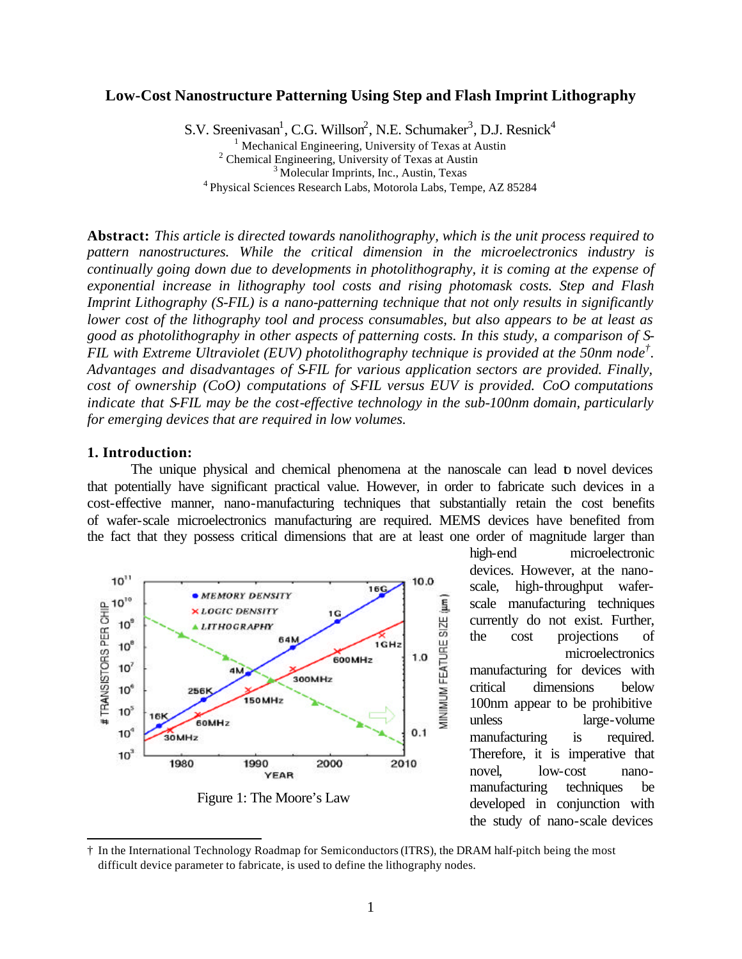# **Low-Cost Nanostructure Patterning Using Step and Flash Imprint Lithography**

S.V. Sreenivasan<sup>1</sup>, C.G. Willson<sup>2</sup>, N.E. Schumaker<sup>3</sup>, D.J. Resnick<sup>4</sup> <sup>1</sup> Mechanical Engineering, University of Texas at Austin 2 Chemical Engineering, University of Texas at Austin <sup>3</sup> Molecular Imprints, Inc., Austin, Texas <sup>4</sup>Physical Sciences Research Labs, Motorola Labs, Tempe, AZ 85284

**Abstract:** *This article is directed towards nanolithography, which is the unit process required to pattern nanostructures. While the critical dimension in the microelectronics industry is continually going down due to developments in photolithography, it is coming at the expense of exponential increase in lithography tool costs and rising photomask costs. Step and Flash Imprint Lithography (S-FIL) is a nano-patterning technique that not only results in significantly lower cost of the lithography tool and process consumables, but also appears to be at least as good as photolithography in other aspects of patterning costs. In this study, a comparison of S-FIL with Extreme Ultraviolet (EUV) photolithography technique is provided at the 50nm node† . Advantages and disadvantages of S-FIL for various application sectors are provided. Finally, cost of ownership (CoO) computations of S-FIL versus EUV is provided. CoO computations indicate that S-FIL may be the cost-effective technology in the sub-100nm domain, particularly for emerging devices that are required in low volumes.*

#### **1. Introduction:**

l

The unique physical and chemical phenomena at the nanoscale can lead to novel devices that potentially have significant practical value. However, in order to fabricate such devices in a cost-effective manner, nano-manufacturing techniques that substantially retain the cost benefits of wafer-scale microelectronics manufacturing are required. MEMS devices have benefited from the fact that they possess critical dimensions that are at least one order of magnitude larger than



high-end microelectronic devices. However, at the nanoscale, high-throughput waferscale manufacturing techniques currently do not exist. Further, the cost projections of microelectronics manufacturing for devices with critical dimensions below 100nm appear to be prohibitive unless large-volume manufacturing is required. Therefore, it is imperative that novel, low-cost nanomanufacturing techniques be developed in conjunction with the study of nano-scale devices

<sup>†</sup> In the International Technology Roadmap for Semiconductors (ITRS), the DRAM half-pitch being the most difficult device parameter to fabricate, is used to define the lithography nodes.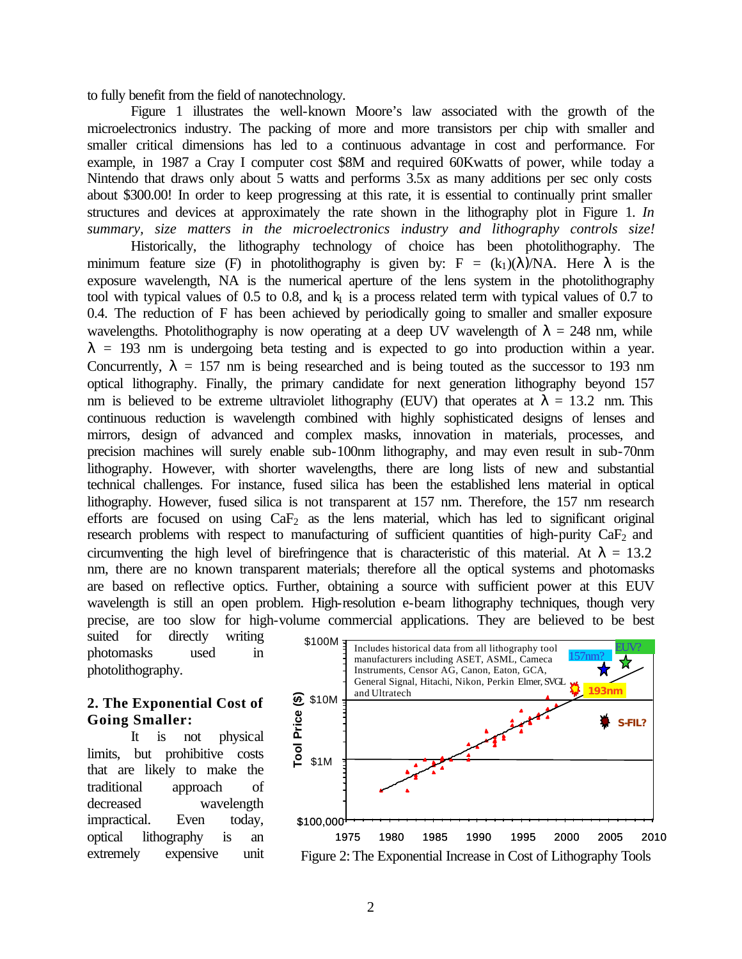to fully benefit from the field of nanotechnology.

Figure 1 illustrates the well-known Moore's law associated with the growth of the microelectronics industry. The packing of more and more transistors per chip with smaller and smaller critical dimensions has led to a continuous advantage in cost and performance. For example, in 1987 a Cray I computer cost \$8M and required 60Kwatts of power, while today a Nintendo that draws only about 5 watts and performs 3.5x as many additions per sec only costs about \$300.00! In order to keep progressing at this rate, it is essential to continually print smaller structures and devices at approximately the rate shown in the lithography plot in Figure 1. *In summary, size matters in the microelectronics industry and lithography controls size!*

Historically, the lithography technology of choice has been photolithography. The minimum feature size (F) in photolithography is given by: F =  $(k_1)(\lambda)/N$ A. Here  $\lambda$  is the exposure wavelength, NA is the numerical aperture of the lens system in the photolithography tool with typical values of 0.5 to 0.8, and  $k_1$  is a process related term with typical values of 0.7 to 0.4. The reduction of F has been achieved by periodically going to smaller and smaller exposure wavelengths. Photolithography is now operating at a deep UV wavelength of  $\lambda = 248$  nm, while  $\lambda$  = 193 nm is undergoing beta testing and is expected to go into production within a year. Concurrently,  $\lambda = 157$  nm is being researched and is being touted as the successor to 193 nm optical lithography. Finally, the primary candidate for next generation lithography beyond 157 nm is believed to be extreme ultraviolet lithography (EUV) that operates at  $\lambda = 13.2$  nm. This continuous reduction is wavelength combined with highly sophisticated designs of lenses and mirrors, design of advanced and complex masks, innovation in materials, processes, and precision machines will surely enable sub-100nm lithography, and may even result in sub-70nm lithography. However, with shorter wavelengths, there are long lists of new and substantial technical challenges. For instance, fused silica has been the established lens material in optical lithography. However, fused silica is not transparent at 157 nm. Therefore, the 157 nm research efforts are focused on using  $CaF<sub>2</sub>$  as the lens material, which has led to significant original research problems with respect to manufacturing of sufficient quantities of high-purity  $CaF<sub>2</sub>$  and circumventing the high level of birefringence that is characteristic of this material. At  $\lambda = 13.2$ nm, there are no known transparent materials; therefore all the optical systems and photomasks are based on reflective optics. Further, obtaining a source with sufficient power at this EUV wavelength is still an open problem. High-resolution e-beam lithography techniques, though very precise, are too slow for high-volume commercial applications. They are believed to be best

suited for directly writing photomasks used in photolithography.

# **2. The Exponential Cost of Going Smaller:**

It is not physical limits, but prohibitive costs that are likely to make the traditional approach of decreased wavelength impractical. Even today, optical lithography is an

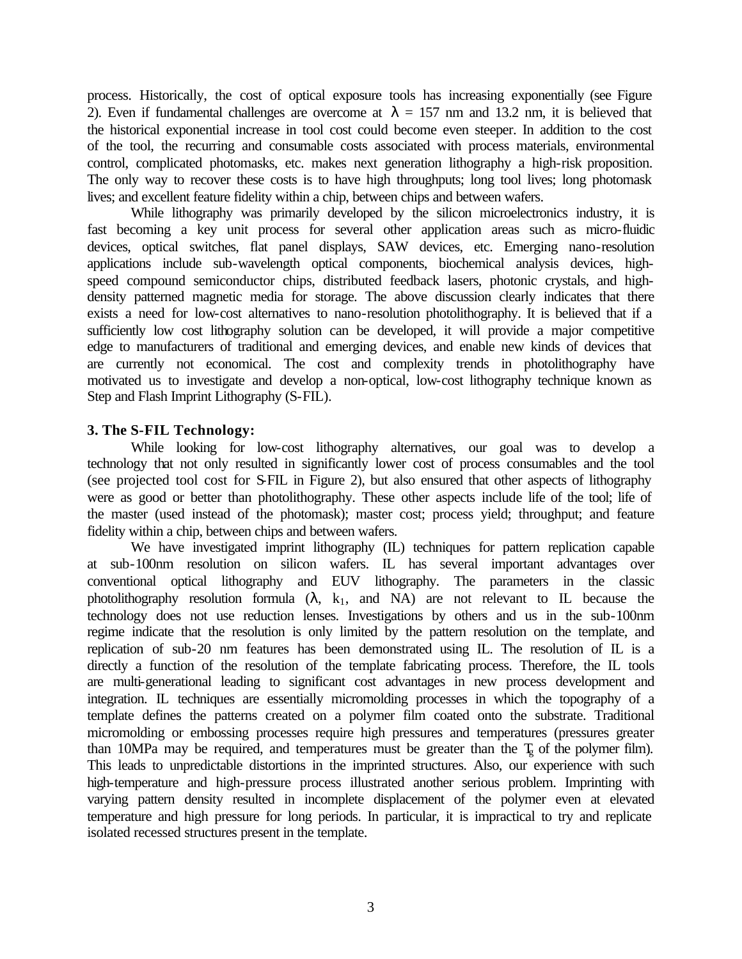process. Historically, the cost of optical exposure tools has increasing exponentially (see Figure 2). Even if fundamental challenges are overcome at  $\lambda = 157$  nm and 13.2 nm, it is believed that the historical exponential increase in tool cost could become even steeper. In addition to the cost of the tool, the recurring and consumable costs associated with process materials, environmental control, complicated photomasks, etc. makes next generation lithography a high-risk proposition. The only way to recover these costs is to have high throughputs; long tool lives; long photomask lives; and excellent feature fidelity within a chip, between chips and between wafers.

While lithography was primarily developed by the silicon microelectronics industry, it is fast becoming a key unit process for several other application areas such as micro-fluidic devices, optical switches, flat panel displays, SAW devices, etc. Emerging nano-resolution applications include sub-wavelength optical components, biochemical analysis devices, highspeed compound semiconductor chips, distributed feedback lasers, photonic crystals, and highdensity patterned magnetic media for storage. The above discussion clearly indicates that there exists a need for low-cost alternatives to nano-resolution photolithography. It is believed that if a sufficiently low cost lithography solution can be developed, it will provide a major competitive edge to manufacturers of traditional and emerging devices, and enable new kinds of devices that are currently not economical. The cost and complexity trends in photolithography have motivated us to investigate and develop a non-optical, low-cost lithography technique known as Step and Flash Imprint Lithography (S-FIL).

# **3. The S-FIL Technology:**

While looking for low-cost lithography alternatives, our goal was to develop a technology that not only resulted in significantly lower cost of process consumables and the tool (see projected tool cost for S-FIL in Figure 2), but also ensured that other aspects of lithography were as good or better than photolithography. These other aspects include life of the tool; life of the master (used instead of the photomask); master cost; process yield; throughput; and feature fidelity within a chip, between chips and between wafers.

We have investigated imprint lithography (IL) techniques for pattern replication capable at sub-100nm resolution on silicon wafers. IL has several important advantages over conventional optical lithography and EUV lithography. The parameters in the classic photolithography resolution formula  $(\lambda, k_1,$  and NA) are not relevant to IL because the technology does not use reduction lenses. Investigations by others and us in the sub-100nm regime indicate that the resolution is only limited by the pattern resolution on the template, and replication of sub-20 nm features has been demonstrated using IL. The resolution of IL is a directly a function of the resolution of the template fabricating process. Therefore, the IL tools are multi-generational leading to significant cost advantages in new process development and integration. IL techniques are essentially micromolding processes in which the topography of a template defines the patterns created on a polymer film coated onto the substrate. Traditional micromolding or embossing processes require high pressures and temperatures (pressures greater than 10MPa may be required, and temperatures must be greater than the  $T<sub>e</sub>$  of the polymer film). This leads to unpredictable distortions in the imprinted structures. Also, our experience with such high-temperature and high-pressure process illustrated another serious problem. Imprinting with varying pattern density resulted in incomplete displacement of the polymer even at elevated temperature and high pressure for long periods. In particular, it is impractical to try and replicate isolated recessed structures present in the template.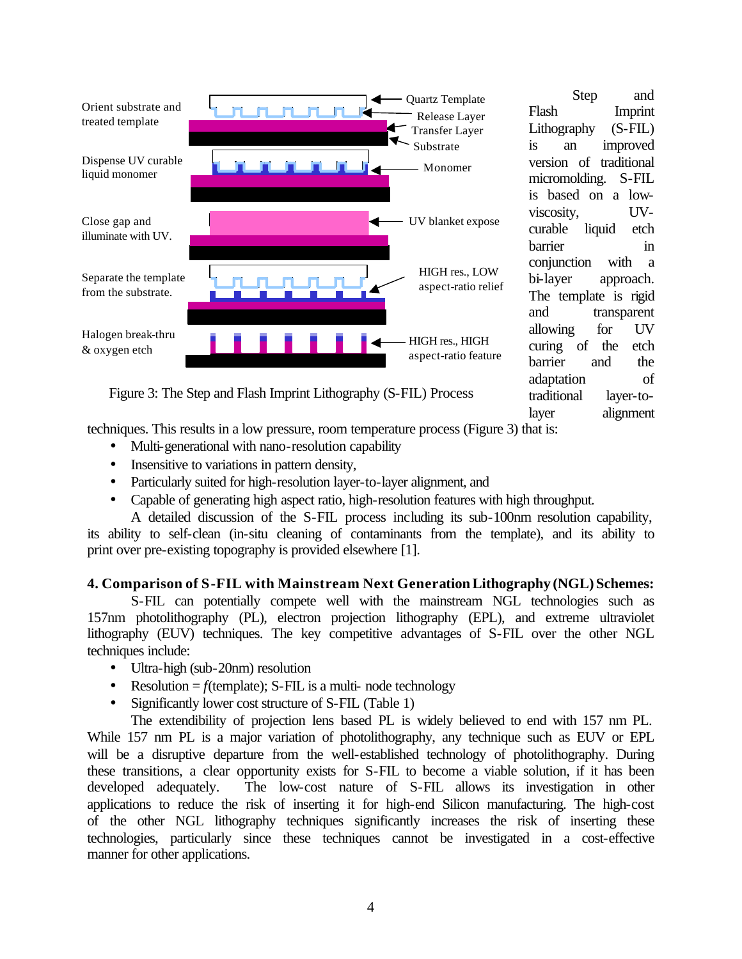

Step and Flash Imprint Lithography (S-FIL) is an improved version of traditional micromolding. S-FIL is based on a lowviscosity, UVcurable liquid etch barrier in conjunction with a bi-layer approach. The template is rigid and transparent allowing for UV curing of the etch barrier and the adaptation of traditional layer-tolayer alignment

techniques. This results in a low pressure, room temperature process (Figure 3) that is:

- Multi-generational with nano-resolution capability
- Insensitive to variations in pattern density,
- Particularly suited for high-resolution layer-to-layer alignment, and
- Capable of generating high aspect ratio, high-resolution features with high throughput.

A detailed discussion of the S-FIL process including its sub-100nm resolution capability, its ability to self-clean (in-situ cleaning of contaminants from the template), and its ability to print over pre-existing topography is provided elsewhere [1].

# **4. Comparison of S-FIL with Mainstream Next Generation Lithography (NGL) Schemes:**

S-FIL can potentially compete well with the mainstream NGL technologies such as 157nm photolithography (PL), electron projection lithography (EPL), and extreme ultraviolet lithography (EUV) techniques. The key competitive advantages of S-FIL over the other NGL techniques include:

- Ultra-high (sub-20nm) resolution
- Resolution  $= f$  (template); S-FIL is a multi-node technology
- Significantly lower cost structure of S-FIL (Table 1)

The extendibility of projection lens based PL is widely believed to end with 157 nm PL. While 157 nm PL is a major variation of photolithography, any technique such as EUV or EPL will be a disruptive departure from the well-established technology of photolithography. During these transitions, a clear opportunity exists for S-FIL to become a viable solution, if it has been developed adequately. The low-cost nature of S-FIL allows its investigation in other applications to reduce the risk of inserting it for high-end Silicon manufacturing. The high-cost of the other NGL lithography techniques significantly increases the risk of inserting these technologies, particularly since these techniques cannot be investigated in a cost-effective manner for other applications.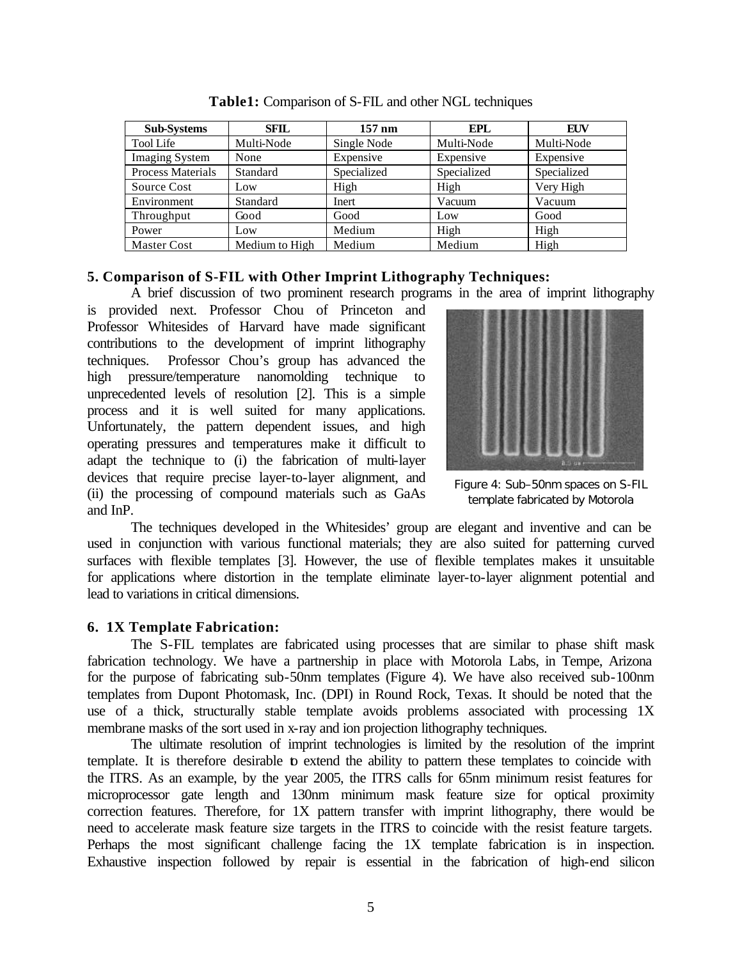| Sub-Systems           | <b>SFIL</b>    | $157 \text{ nm}$ | <b>EPL</b>  | EUV         |
|-----------------------|----------------|------------------|-------------|-------------|
| <b>Tool Life</b>      | Multi-Node     | Single Node      | Multi-Node  | Multi-Node  |
| <b>Imaging System</b> | None           | Expensive        | Expensive   | Expensive   |
| Process Materials     | Standard       | Specialized      | Specialized | Specialized |
| Source Cost           | Low            | High             | High        | Very High   |
| Environment           | Standard       | Inert            | Vacuum      | Vacuum      |
| Throughput            | Good           | Good             | Low         | Good        |
| Power                 | Low            | Medium           | High        | High        |
| <b>Master Cost</b>    | Medium to High | Medium           | Medium      | High        |

**Table1:** Comparison of S-FIL and other NGL techniques

### **5. Comparison of S-FIL with Other Imprint Lithography Techniques:**

A brief discussion of two prominent research programs in the area of imprint lithography

is provided next. Professor Chou of Princeton and Professor Whitesides of Harvard have made significant contributions to the development of imprint lithography techniques. Professor Chou's group has advanced the high pressure/temperature nanomolding technique to unprecedented levels of resolution [2]. This is a simple process and it is well suited for many applications. Unfortunately, the pattern dependent issues, and high operating pressures and temperatures make it difficult to adapt the technique to (i) the fabrication of multi-layer devices that require precise layer-to-layer alignment, and (ii) the processing of compound materials such as GaAs and InP.



Figure 4: Sub–50nm spaces on S-FIL template fabricated by Motorola

The techniques developed in the Whitesides' group are elegant and inventive and can be used in conjunction with various functional materials; they are also suited for patterning curved surfaces with flexible templates [3]. However, the use of flexible templates makes it unsuitable for applications where distortion in the template eliminate layer-to-layer alignment potential and lead to variations in critical dimensions.

# **6. 1X Template Fabrication:**

The S-FIL templates are fabricated using processes that are similar to phase shift mask fabrication technology. We have a partnership in place with Motorola Labs, in Tempe, Arizona for the purpose of fabricating sub-50nm templates (Figure 4). We have also received sub-100nm templates from Dupont Photomask, Inc. (DPI) in Round Rock, Texas. It should be noted that the use of a thick, structurally stable template avoids problems associated with processing 1X membrane masks of the sort used in x-ray and ion projection lithography techniques.

The ultimate resolution of imprint technologies is limited by the resolution of the imprint template. It is therefore desirable to extend the ability to pattern these templates to coincide with the ITRS. As an example, by the year 2005, the ITRS calls for 65nm minimum resist features for microprocessor gate length and 130nm minimum mask feature size for optical proximity correction features. Therefore, for 1X pattern transfer with imprint lithography, there would be need to accelerate mask feature size targets in the ITRS to coincide with the resist feature targets. Perhaps the most significant challenge facing the 1X template fabrication is in inspection. Exhaustive inspection followed by repair is essential in the fabrication of high-end silicon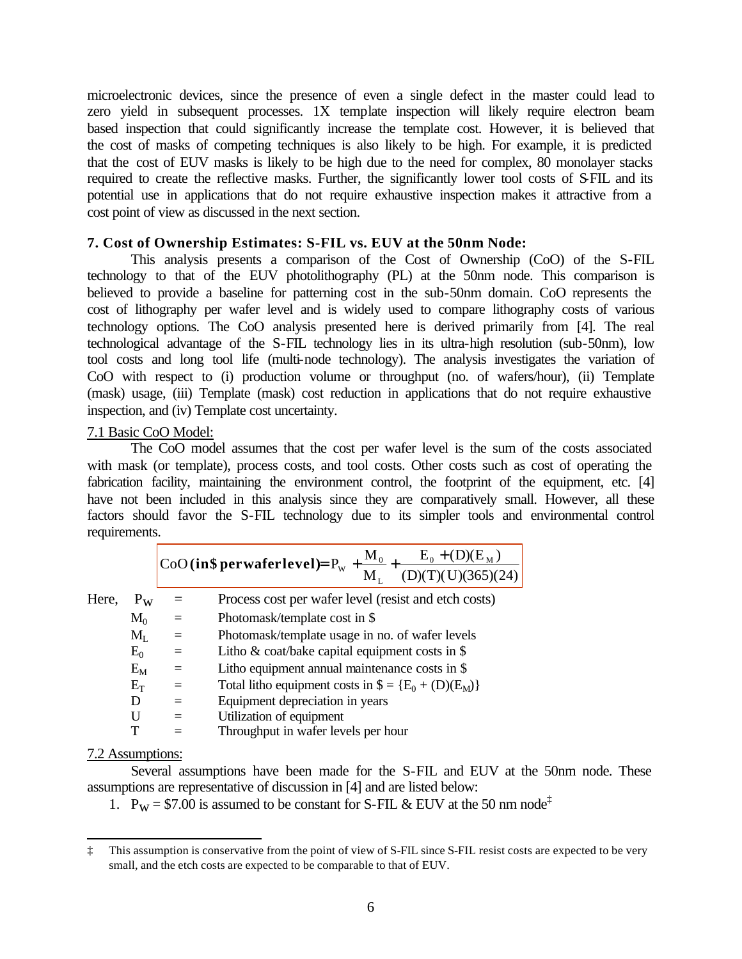microelectronic devices, since the presence of even a single defect in the master could lead to zero yield in subsequent processes. 1X template inspection will likely require electron beam based inspection that could significantly increase the template cost. However, it is believed that the cost of masks of competing techniques is also likely to be high. For example, it is predicted that the cost of EUV masks is likely to be high due to the need for complex, 80 monolayer stacks required to create the reflective masks. Further, the significantly lower tool costs of S-FIL and its potential use in applications that do not require exhaustive inspection makes it attractive from a cost point of view as discussed in the next section.

#### **7. Cost of Ownership Estimates: S-FIL vs. EUV at the 50nm Node:**

This analysis presents a comparison of the Cost of Ownership (CoO) of the S-FIL technology to that of the EUV photolithography (PL) at the 50nm node. This comparison is believed to provide a baseline for patterning cost in the sub-50nm domain. CoO represents the cost of lithography per wafer level and is widely used to compare lithography costs of various technology options. The CoO analysis presented here is derived primarily from [4]. The real technological advantage of the S-FIL technology lies in its ultra-high resolution (sub-50nm), low tool costs and long tool life (multi-node technology). The analysis investigates the variation of CoO with respect to (i) production volume or throughput (no. of wafers/hour), (ii) Template (mask) usage, (iii) Template (mask) cost reduction in applications that do not require exhaustive inspection, and (iv) Template cost uncertainty.

### 7.1 Basic CoO Model:

The CoO model assumes that the cost per wafer level is the sum of the costs associated with mask (or template), process costs, and tool costs. Other costs such as cost of operating the fabrication facility, maintaining the environment control, the footprint of the equipment, etc. [4] have not been included in this analysis since they are comparatively small. However, all these factors should favor the S-FIL technology due to its simpler tools and environmental control requirements.

|       |         | $\mathbf{M}_0$<br>$E_0 + (D)(E_M)$<br>$CoO$ (in \$ per wafer level) = $P_w$ +<br>$\frac{1}{(D)(T)(U)(365)(24)}$<br>Μ, |
|-------|---------|-----------------------------------------------------------------------------------------------------------------------|
| Here, | $P_{W}$ | Process cost per wafer level (resist and etch costs)                                                                  |
|       | $M_0$   | Photomask/template cost in \$                                                                                         |
|       | $M_{L}$ | Photomask/template usage in no. of wafer levels                                                                       |
|       | $E_0$   | Litho $\&$ coat/bake capital equipment costs in \$                                                                    |
|       | $E_M$   | Litho equipment annual maintenance costs in \$                                                                        |
|       | $E_T$   | Total litho equipment costs in $\$\ = \{E_0 + (D)(E_M)\}\$                                                            |
|       | D       | Equipment depreciation in years                                                                                       |
|       | H       | Utilization of equipment                                                                                              |
|       |         | Throughput in wafer levels per hour                                                                                   |
|       |         |                                                                                                                       |

# 7.2 Assumptions:

Several assumptions have been made for the S-FIL and EUV at the 50nm node. These assumptions are representative of discussion in [4] and are listed below:

1.  $P_W = $7.00$  is assumed to be constant for S-FIL & EUV at the 50 nm node<sup>‡</sup>

l ‡ This assumption is conservative from the point of view of S-FIL since S-FIL resist costs are expected to be very small, and the etch costs are expected to be comparable to that of EUV.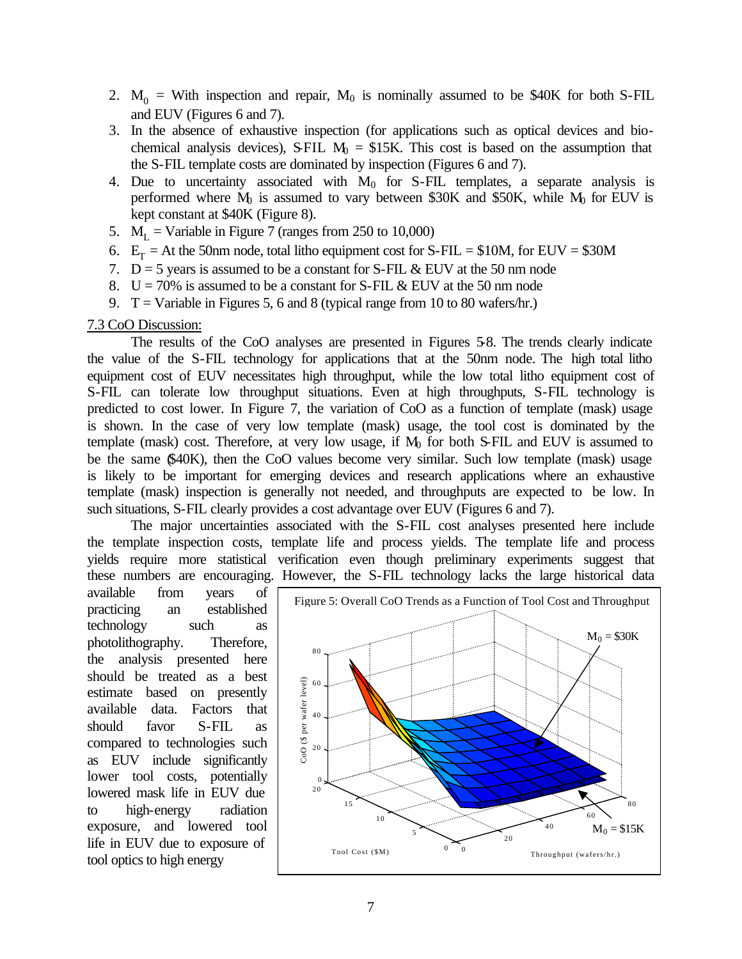- 2.  $M_0$  = With inspection and repair,  $M_0$  is nominally assumed to be \$40K for both S-FIL and EUV (Figures 6 and 7).
- 3. In the absence of exhaustive inspection (for applications such as optical devices and biochemical analysis devices), S-FIL  $M_0 = $15K$ . This cost is based on the assumption that the S-FIL template costs are dominated by inspection (Figures 6 and 7).
- 4. Due to uncertainty associated with  $M_0$  for S-FIL templates, a separate analysis is performed where  $M_0$  is assumed to vary between \$30K and \$50K, while  $M_0$  for EUV is kept constant at \$40K (Figure 8).
- 5.  $M<sub>L</sub>$  = Variable in Figure 7 (ranges from 250 to 10,000)
- 6.  $E_T = At$  the 50nm node, total litho equipment cost for S-FIL = \$10M, for EUV = \$30M
- 7.  $D = 5$  years is assumed to be a constant for S-FIL & EUV at the 50 nm node
- 8. U = 70% is assumed to be a constant for S-FIL  $&$  EUV at the 50 nm node
- 9.  $T = \text{Variable in Figures 5, 6 and 8 (typical range from 10 to 80 wafers/hr.)}$

### 7.3 CoO Discussion:

The results of the CoO analyses are presented in Figures 5-8. The trends clearly indicate the value of the S-FIL technology for applications that at the 50nm node. The high total litho equipment cost of EUV necessitates high throughput, while the low total litho equipment cost of S-FIL can tolerate low throughput situations. Even at high throughputs, S-FIL technology is predicted to cost lower. In Figure 7, the variation of CoO as a function of template (mask) usage is shown. In the case of very low template (mask) usage, the tool cost is dominated by the template (mask) cost. Therefore, at very low usage, if  $M<sub>0</sub>$  for both S-FIL and EUV is assumed to be the same (\$40K), then the CoO values become very similar. Such low template (mask) usage is likely to be important for emerging devices and research applications where an exhaustive template (mask) inspection is generally not needed, and throughputs are expected to be low. In such situations, S-FIL clearly provides a cost advantage over EUV (Figures 6 and 7).

The major uncertainties associated with the S-FIL cost analyses presented here include the template inspection costs, template life and process yields. The template life and process yields require more statistical verification even though preliminary experiments suggest that these numbers are encouraging. However, the S-FIL technology lacks the large historical data

available from years of practicing an established technology such as photolithography. Therefore, the analysis presented here should be treated as a best estimate based on presently available data. Factors that should favor S-FIL as compared to technologies such as EUV include significantly lower tool costs, potentially lowered mask life in EUV due to high-energy radiation exposure, and lowered tool life in EUV due to exposure of tool optics to high energy